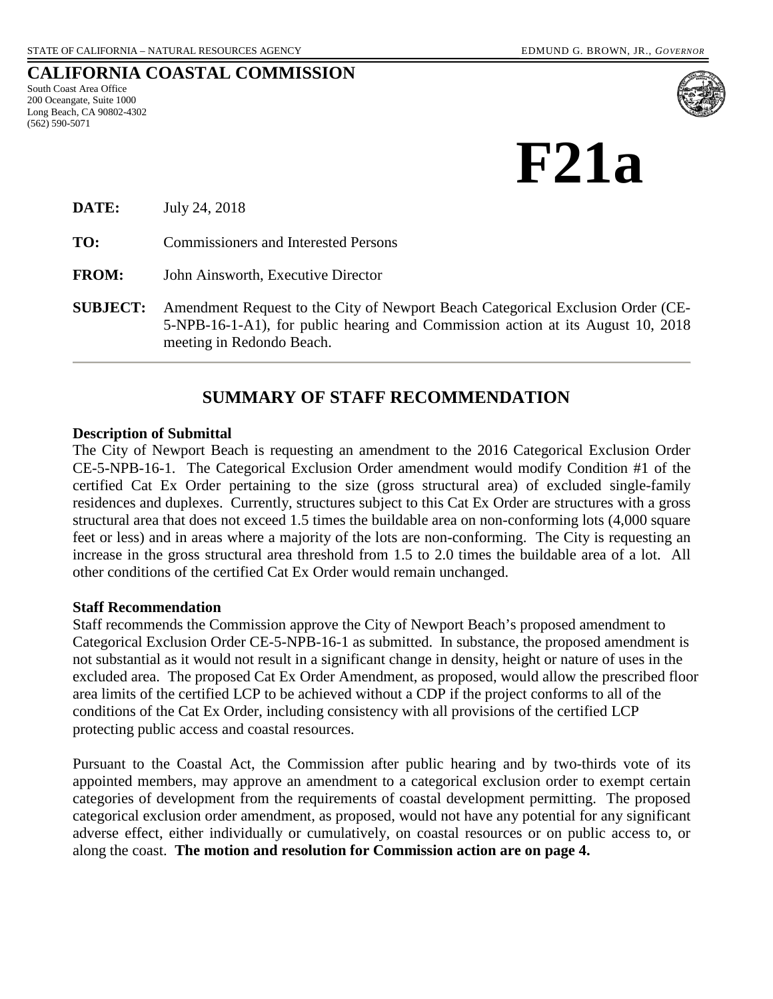# **CALIFORNIA COASTAL COMMISSION**

South Coast Area Office 200 Oceangate, Suite 1000 Long Beach, CA 90802-4302 (562) 590-5071



| DATE:           | July 24, 2018                                                                                                                                                                                   |
|-----------------|-------------------------------------------------------------------------------------------------------------------------------------------------------------------------------------------------|
| TO:             | Commissioners and Interested Persons                                                                                                                                                            |
| <b>FROM:</b>    | John Ainsworth, Executive Director                                                                                                                                                              |
| <b>SUBJECT:</b> | Amendment Request to the City of Newport Beach Categorical Exclusion Order (CE-<br>5-NPB-16-1-A1), for public hearing and Commission action at its August 10, 2018<br>meeting in Redondo Beach. |

# **SUMMARY OF STAFF RECOMMENDATION**

#### **Description of Submittal**

The City of Newport Beach is requesting an amendment to the 2016 Categorical Exclusion Order CE-5-NPB-16-1. The Categorical Exclusion Order amendment would modify Condition #1 of the certified Cat Ex Order pertaining to the size (gross structural area) of excluded single-family residences and duplexes. Currently, structures subject to this Cat Ex Order are structures with a gross structural area that does not exceed 1.5 times the buildable area on non-conforming lots (4,000 square feet or less) and in areas where a majority of the lots are non-conforming. The City is requesting an increase in the gross structural area threshold from 1.5 to 2.0 times the buildable area of a lot. All other conditions of the certified Cat Ex Order would remain unchanged.

#### **Staff Recommendation**

Staff recommends the Commission approve the City of Newport Beach's proposed amendment to Categorical Exclusion Order CE-5-NPB-16-1 as submitted. In substance, the proposed amendment is not substantial as it would not result in a significant change in density, height or nature of uses in the excluded area. The proposed Cat Ex Order Amendment, as proposed, would allow the prescribed floor area limits of the certified LCP to be achieved without a CDP if the project conforms to all of the conditions of the Cat Ex Order, including consistency with all provisions of the certified LCP protecting public access and coastal resources.

Pursuant to the Coastal Act, the Commission after public hearing and by two-thirds vote of its appointed members, may approve an amendment to a categorical exclusion order to exempt certain categories of development from the requirements of coastal development permitting. The proposed categorical exclusion order amendment, as proposed, would not have any potential for any significant adverse effect, either individually or cumulatively, on coastal resources or on public access to, or along the coast. **The motion and resolution for Commission action are on page 4.**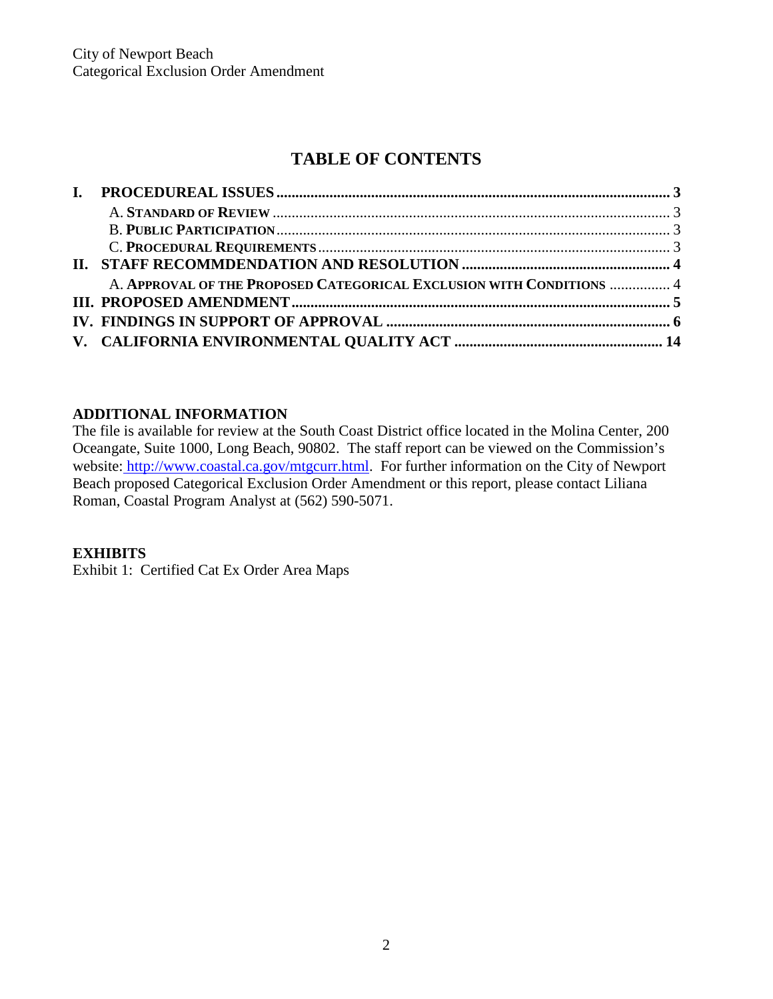# **TABLE OF CONTENTS**

| A. APPROVAL OF THE PROPOSED CATEGORICAL EXCLUSION WITH CONDITIONS  4 |  |
|----------------------------------------------------------------------|--|
|                                                                      |  |
|                                                                      |  |
|                                                                      |  |
|                                                                      |  |

# **ADDITIONAL INFORMATION**

The file is available for review at the South Coast District office located in the Molina Center, 200 Oceangate, Suite 1000, Long Beach, 90802. The staff report can be viewed on the Commission's website: http://www.coastal.ca.gov/mtgcurr.html. For further information on the City of Newport Beach proposed Categorical Exclusion Order Amendment or this report, please contact Liliana Roman, Coastal Program Analyst at (562) 590-5071.

# **EXHIBITS**

Exhibit 1: Certified Cat Ex Order Area Maps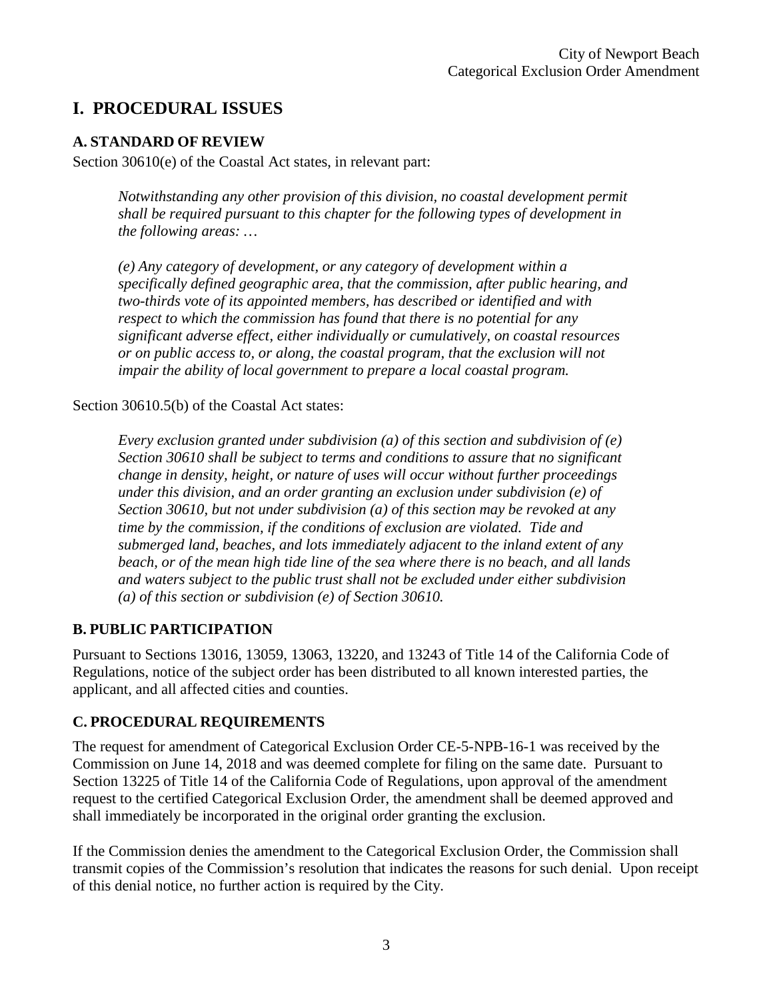# <span id="page-2-0"></span>**I. PROCEDURAL ISSUES**

# **A. STANDARD OF REVIEW**

Section 30610(e) of the Coastal Act states, in relevant part:

*Notwithstanding any other provision of this division, no coastal development permit shall be required pursuant to this chapter for the following types of development in the following areas: …* 

*(e) Any category of development, or any category of development within a specifically defined geographic area, that the commission, after public hearing, and two-thirds vote of its appointed members, has described or identified and with respect to which the commission has found that there is no potential for any significant adverse effect, either individually or cumulatively, on coastal resources or on public access to, or along, the coastal program, that the exclusion will not impair the ability of local government to prepare a local coastal program.* 

Section 30610.5(b) of the Coastal Act states:

*Every exclusion granted under subdivision (a) of this section and subdivision of (e) Section 30610 shall be subject to terms and conditions to assure that no significant change in density, height, or nature of uses will occur without further proceedings under this division, and an order granting an exclusion under subdivision (e) of Section 30610, but not under subdivision (a) of this section may be revoked at any time by the commission, if the conditions of exclusion are violated. Tide and submerged land, beaches, and lots immediately adjacent to the inland extent of any beach, or of the mean high tide line of the sea where there is no beach, and all lands and waters subject to the public trust shall not be excluded under either subdivision (a) of this section or subdivision (e) of Section 30610.* 

## **B. PUBLIC PARTICIPATION**

Pursuant to Sections 13016, 13059, 13063, 13220, and 13243 of Title 14 of the California Code of Regulations, notice of the subject order has been distributed to all known interested parties, the applicant, and all affected cities and counties.

## **C. PROCEDURAL REQUIREMENTS**

The request for amendment of Categorical Exclusion Order CE-5-NPB-16-1 was received by the Commission on June 14, 2018 and was deemed complete for filing on the same date. Pursuant to Section 13225 of Title 14 of the California Code of Regulations, upon approval of the amendment request to the certified Categorical Exclusion Order, the amendment shall be deemed approved and shall immediately be incorporated in the original order granting the exclusion.

If the Commission denies the amendment to the Categorical Exclusion Order, the Commission shall transmit copies of the Commission's resolution that indicates the reasons for such denial. Upon receipt of this denial notice, no further action is required by the City.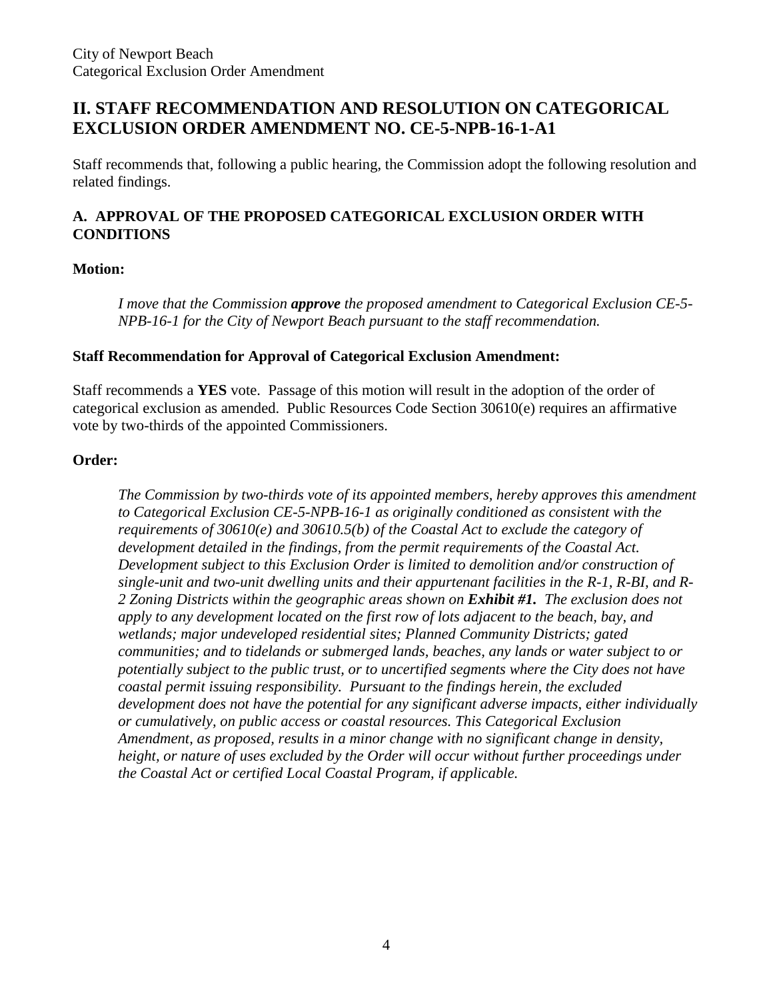# **II. STAFF RECOMMENDATION AND RESOLUTION ON CATEGORICAL EXCLUSION ORDER AMENDMENT NO. CE-5-NPB-16-1-A1**

Staff recommends that, following a public hearing, the Commission adopt the following resolution and related findings.

# **A. APPROVAL OF THE PROPOSED CATEGORICAL EXCLUSION ORDER WITH CONDITIONS**

#### **Motion:**

*I move that the Commission approve the proposed amendment to Categorical Exclusion CE-5- NPB-16-1 for the City of Newport Beach pursuant to the staff recommendation.* 

#### **Staff Recommendation for Approval of Categorical Exclusion Amendment:**

Staff recommends a **YES** vote. Passage of this motion will result in the adoption of the order of categorical exclusion as amended. Public Resources Code Section 30610(e) requires an affirmative vote by two-thirds of the appointed Commissioners.

#### **Order:**

*The Commission by two-thirds vote of its appointed members, hereby approves this amendment to Categorical Exclusion CE-5-NPB-16-1 as originally conditioned as consistent with the requirements of 30610(e) and 30610.5(b) of the Coastal Act to exclude the category of development detailed in the findings, from the permit requirements of the Coastal Act. Development subject to this Exclusion Order is limited to demolition and/or construction of single-unit and two-unit dwelling units and their appurtenant facilities in the R-1, R-BI, and R-2 Zoning Districts within the geographic areas shown on Exhibit #1. The exclusion does not apply to any development located on the first row of lots adjacent to the beach, bay, and wetlands; major undeveloped residential sites; Planned Community Districts; gated communities; and to tidelands or submerged lands, beaches, any lands or water subject to or potentially subject to the public trust, or to uncertified segments where the City does not have coastal permit issuing responsibility. Pursuant to the findings herein, the excluded development does not have the potential for any significant adverse impacts, either individually or cumulatively, on public access or coastal resources. This Categorical Exclusion Amendment, as proposed, results in a minor change with no significant change in density, height, or nature of uses excluded by the Order will occur without further proceedings under the Coastal Act or certified Local Coastal Program, if applicable.*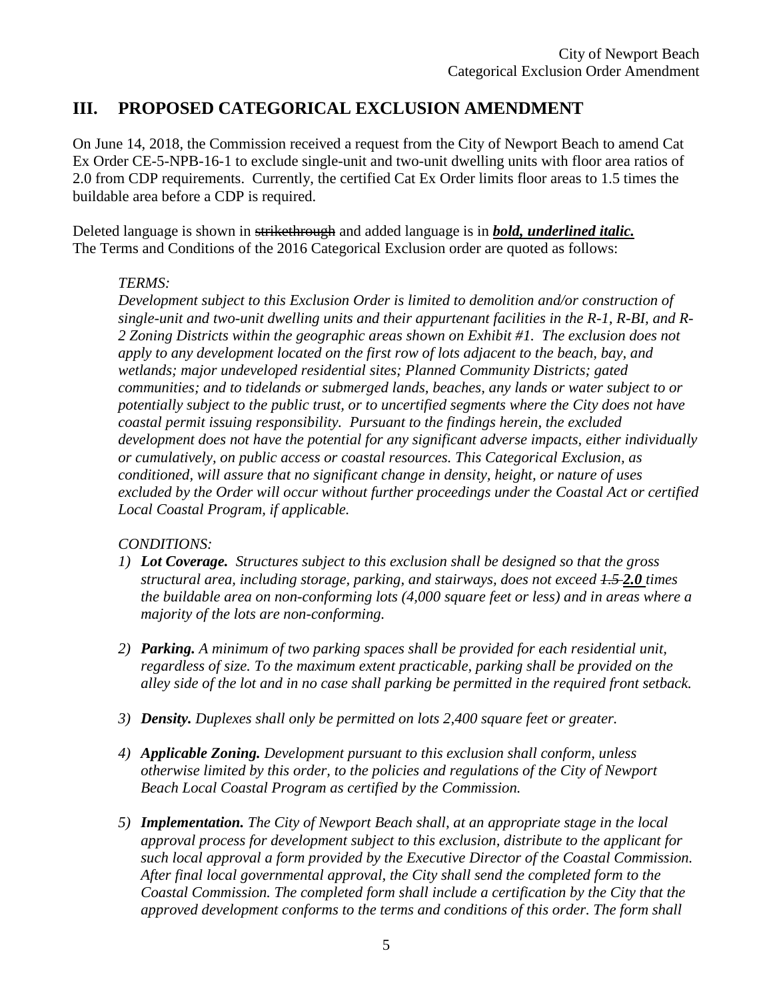# **III. PROPOSED CATEGORICAL EXCLUSION AMENDMENT**

On June 14, 2018, the Commission received a request from the City of Newport Beach to amend Cat Ex Order CE-5-NPB-16-1 to exclude single-unit and two-unit dwelling units with floor area ratios of 2.0 from CDP requirements. Currently, the certified Cat Ex Order limits floor areas to 1.5 times the buildable area before a CDP is required.

Deleted language is shown in strikethrough and added language is in *bold, underlined italic.* The Terms and Conditions of the 2016 Categorical Exclusion order are quoted as follows:

## *TERMS:*

*Development subject to this Exclusion Order is limited to demolition and/or construction of single-unit and two-unit dwelling units and their appurtenant facilities in the R-1, R-BI, and R-2 Zoning Districts within the geographic areas shown on Exhibit #1. The exclusion does not apply to any development located on the first row of lots adjacent to the beach, bay, and wetlands; major undeveloped residential sites; Planned Community Districts; gated communities; and to tidelands or submerged lands, beaches, any lands or water subject to or potentially subject to the public trust, or to uncertified segments where the City does not have coastal permit issuing responsibility. Pursuant to the findings herein, the excluded development does not have the potential for any significant adverse impacts, either individually or cumulatively, on public access or coastal resources. This Categorical Exclusion, as conditioned, will assure that no significant change in density, height, or nature of uses excluded by the Order will occur without further proceedings under the Coastal Act or certified Local Coastal Program, if applicable.* 

## *CONDITIONS:*

- *1) Lot Coverage. Structures subject to this exclusion shall be designed so that the gross structural area, including storage, parking, and stairways, does not exceed 1.5 2.0 times the buildable area on non-conforming lots (4,000 square feet or less) and in areas where a majority of the lots are non-conforming.*
- *2) Parking. A minimum of two parking spaces shall be provided for each residential unit, regardless of size. To the maximum extent practicable, parking shall be provided on the alley side of the lot and in no case shall parking be permitted in the required front setback.*
- *3) Density. Duplexes shall only be permitted on lots 2,400 square feet or greater.*
- *4) Applicable Zoning. Development pursuant to this exclusion shall conform, unless otherwise limited by this order, to the policies and regulations of the City of Newport Beach Local Coastal Program as certified by the Commission.*
- *5) Implementation. The City of Newport Beach shall, at an appropriate stage in the local approval process for development subject to this exclusion, distribute to the applicant for such local approval a form provided by the Executive Director of the Coastal Commission. After final local governmental approval, the City shall send the completed form to the Coastal Commission. The completed form shall include a certification by the City that the approved development conforms to the terms and conditions of this order. The form shall*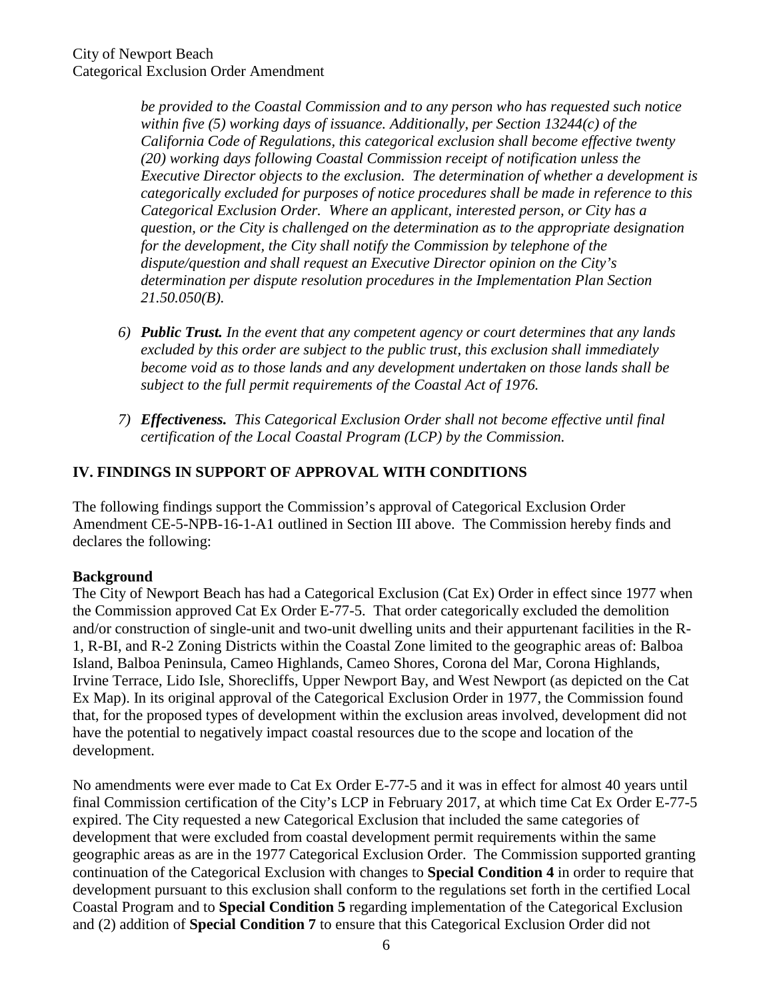*be provided to the Coastal Commission and to any person who has requested such notice within five (5) working days of issuance. Additionally, per Section 13244(c) of the California Code of Regulations, this categorical exclusion shall become effective twenty (20) working days following Coastal Commission receipt of notification unless the Executive Director objects to the exclusion. The determination of whether a development is categorically excluded for purposes of notice procedures shall be made in reference to this Categorical Exclusion Order. Where an applicant, interested person, or City has a question, or the City is challenged on the determination as to the appropriate designation for the development, the City shall notify the Commission by telephone of the dispute/question and shall request an Executive Director opinion on the City's determination per dispute resolution procedures in the Implementation Plan Section 21.50.050(B).* 

- *6) Public Trust. In the event that any competent agency or court determines that any lands excluded by this order are subject to the public trust, this exclusion shall immediately become void as to those lands and any development undertaken on those lands shall be subject to the full permit requirements of the Coastal Act of 1976.*
- *7) Effectiveness. This Categorical Exclusion Order shall not become effective until final certification of the Local Coastal Program (LCP) by the Commission.*

# **IV. FINDINGS IN SUPPORT OF APPROVAL WITH CONDITIONS**

The following findings support the Commission's approval of Categorical Exclusion Order Amendment CE-5-NPB-16-1-A1 outlined in Section III above. The Commission hereby finds and declares the following:

## **Background**

The City of Newport Beach has had a Categorical Exclusion (Cat Ex) Order in effect since 1977 when the Commission approved Cat Ex Order E-77-5. That order categorically excluded the demolition and/or construction of single-unit and two-unit dwelling units and their appurtenant facilities in the R-1, R-BI, and R-2 Zoning Districts within the Coastal Zone limited to the geographic areas of: Balboa Island, Balboa Peninsula, Cameo Highlands, Cameo Shores, Corona del Mar, Corona Highlands, Irvine Terrace, Lido Isle, Shorecliffs, Upper Newport Bay, and West Newport (as depicted on the Cat Ex Map). In its original approval of the Categorical Exclusion Order in 1977, the Commission found that, for the proposed types of development within the exclusion areas involved, development did not have the potential to negatively impact coastal resources due to the scope and location of the development.

No amendments were ever made to Cat Ex Order E-77-5 and it was in effect for almost 40 years until final Commission certification of the City's LCP in February 2017, at which time Cat Ex Order E-77-5 expired. The City requested a new Categorical Exclusion that included the same categories of development that were excluded from coastal development permit requirements within the same geographic areas as are in the 1977 Categorical Exclusion Order. The Commission supported granting continuation of the Categorical Exclusion with changes to **Special Condition 4** in order to require that development pursuant to this exclusion shall conform to the regulations set forth in the certified Local Coastal Program and to **Special Condition 5** regarding implementation of the Categorical Exclusion and (2) addition of **Special Condition 7** to ensure that this Categorical Exclusion Order did not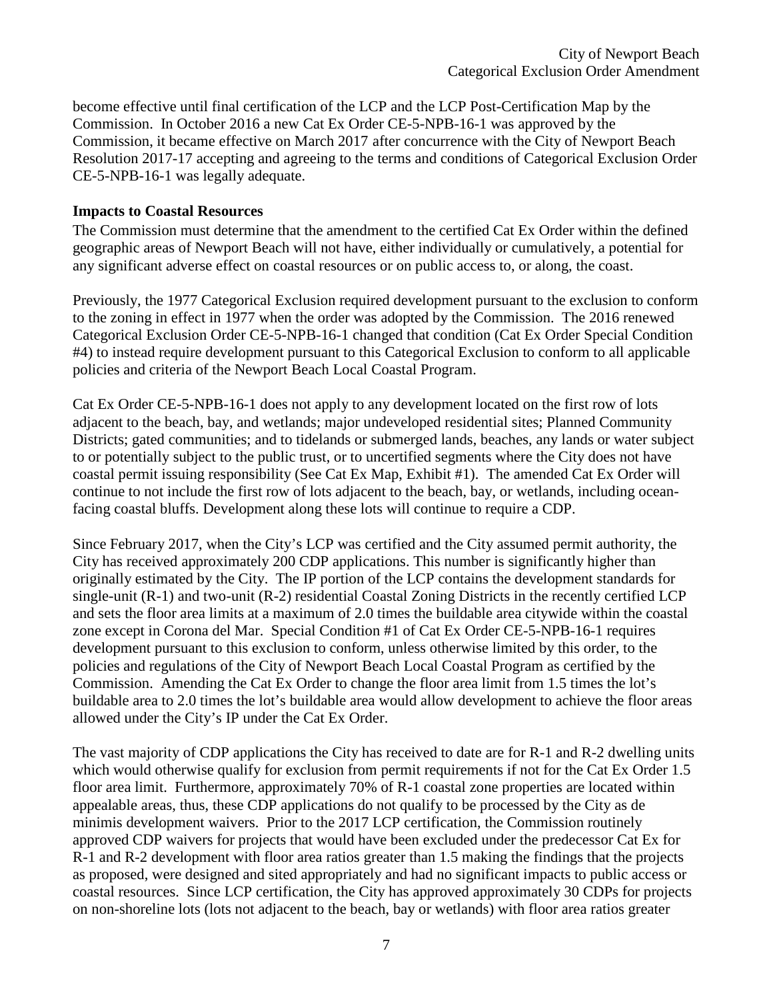become effective until final certification of the LCP and the LCP Post-Certification Map by the Commission. In October 2016 a new Cat Ex Order CE-5-NPB-16-1 was approved by the Commission, it became effective on March 2017 after concurrence with the City of Newport Beach Resolution 2017-17 accepting and agreeing to the terms and conditions of Categorical Exclusion Order CE-5-NPB-16-1 was legally adequate.

#### **Impacts to Coastal Resources**

The Commission must determine that the amendment to the certified Cat Ex Order within the defined geographic areas of Newport Beach will not have, either individually or cumulatively, a potential for any significant adverse effect on coastal resources or on public access to, or along, the coast.

Previously, the 1977 Categorical Exclusion required development pursuant to the exclusion to conform to the zoning in effect in 1977 when the order was adopted by the Commission. The 2016 renewed Categorical Exclusion Order CE-5-NPB-16-1 changed that condition (Cat Ex Order Special Condition #4) to instead require development pursuant to this Categorical Exclusion to conform to all applicable policies and criteria of the Newport Beach Local Coastal Program.

Cat Ex Order CE-5-NPB-16-1 does not apply to any development located on the first row of lots adjacent to the beach, bay, and wetlands; major undeveloped residential sites; Planned Community Districts; gated communities; and to tidelands or submerged lands, beaches, any lands or water subject to or potentially subject to the public trust, or to uncertified segments where the City does not have coastal permit issuing responsibility (See Cat Ex Map, Exhibit #1). The amended Cat Ex Order will continue to not include the first row of lots adjacent to the beach, bay, or wetlands, including oceanfacing coastal bluffs. Development along these lots will continue to require a CDP.

Since February 2017, when the City's LCP was certified and the City assumed permit authority, the City has received approximately 200 CDP applications. This number is significantly higher than originally estimated by the City. The IP portion of the LCP contains the development standards for single-unit (R-1) and two-unit (R-2) residential Coastal Zoning Districts in the recently certified LCP and sets the floor area limits at a maximum of 2.0 times the buildable area citywide within the coastal zone except in Corona del Mar. Special Condition #1 of Cat Ex Order CE-5-NPB-16-1 requires development pursuant to this exclusion to conform, unless otherwise limited by this order, to the policies and regulations of the City of Newport Beach Local Coastal Program as certified by the Commission. Amending the Cat Ex Order to change the floor area limit from 1.5 times the lot's buildable area to 2.0 times the lot's buildable area would allow development to achieve the floor areas allowed under the City's IP under the Cat Ex Order.

The vast majority of CDP applications the City has received to date are for R-1 and R-2 dwelling units which would otherwise qualify for exclusion from permit requirements if not for the Cat Ex Order 1.5 floor area limit. Furthermore, approximately 70% of R-1 coastal zone properties are located within appealable areas, thus, these CDP applications do not qualify to be processed by the City as de minimis development waivers. Prior to the 2017 LCP certification, the Commission routinely approved CDP waivers for projects that would have been excluded under the predecessor Cat Ex for R-1 and R-2 development with floor area ratios greater than 1.5 making the findings that the projects as proposed, were designed and sited appropriately and had no significant impacts to public access or coastal resources. Since LCP certification, the City has approved approximately 30 CDPs for projects on non-shoreline lots (lots not adjacent to the beach, bay or wetlands) with floor area ratios greater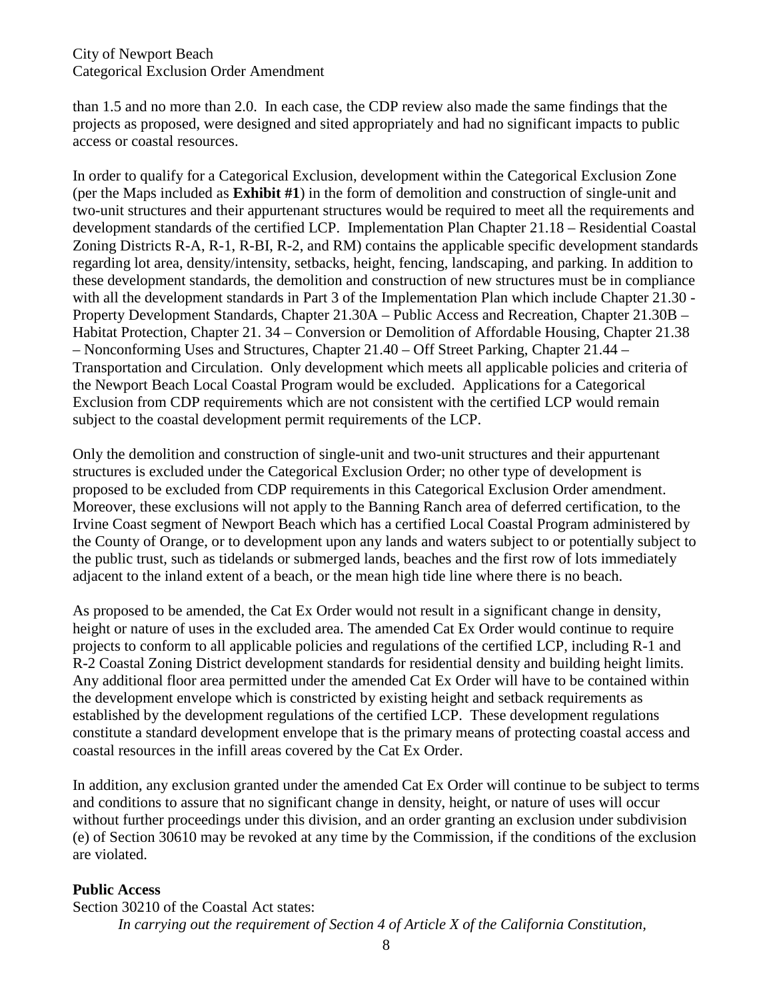#### City of Newport Beach Categorical Exclusion Order Amendment

than 1.5 and no more than 2.0. In each case, the CDP review also made the same findings that the projects as proposed, were designed and sited appropriately and had no significant impacts to public access or coastal resources.

In order to qualify for a Categorical Exclusion, development within the Categorical Exclusion Zone (per the Maps included as **Exhibit #1**) in the form of demolition and construction of single-unit and two-unit structures and their appurtenant structures would be required to meet all the requirements and development standards of the certified LCP. Implementation Plan Chapter 21.18 – Residential Coastal Zoning Districts R-A, R-1, R-BI, R-2, and RM) contains the applicable specific development standards regarding lot area, density/intensity, setbacks, height, fencing, landscaping, and parking. In addition to these development standards, the demolition and construction of new structures must be in compliance with all the development standards in Part 3 of the Implementation Plan which include Chapter 21.30 - Property Development Standards, Chapter 21.30A – Public Access and Recreation, Chapter 21.30B – Habitat Protection, Chapter 21. 34 – Conversion or Demolition of Affordable Housing, Chapter 21.38 – Nonconforming Uses and Structures, Chapter 21.40 – Off Street Parking, Chapter 21.44 – Transportation and Circulation. Only development which meets all applicable policies and criteria of the Newport Beach Local Coastal Program would be excluded. Applications for a Categorical Exclusion from CDP requirements which are not consistent with the certified LCP would remain subject to the coastal development permit requirements of the LCP.

Only the demolition and construction of single-unit and two-unit structures and their appurtenant structures is excluded under the Categorical Exclusion Order; no other type of development is proposed to be excluded from CDP requirements in this Categorical Exclusion Order amendment. Moreover, these exclusions will not apply to the Banning Ranch area of deferred certification, to the Irvine Coast segment of Newport Beach which has a certified Local Coastal Program administered by the County of Orange, or to development upon any lands and waters subject to or potentially subject to the public trust, such as tidelands or submerged lands, beaches and the first row of lots immediately adjacent to the inland extent of a beach, or the mean high tide line where there is no beach.

As proposed to be amended, the Cat Ex Order would not result in a significant change in density, height or nature of uses in the excluded area. The amended Cat Ex Order would continue to require projects to conform to all applicable policies and regulations of the certified LCP, including R-1 and R-2 Coastal Zoning District development standards for residential density and building height limits. Any additional floor area permitted under the amended Cat Ex Order will have to be contained within the development envelope which is constricted by existing height and setback requirements as established by the development regulations of the certified LCP. These development regulations constitute a standard development envelope that is the primary means of protecting coastal access and coastal resources in the infill areas covered by the Cat Ex Order.

In addition, any exclusion granted under the amended Cat Ex Order will continue to be subject to terms and conditions to assure that no significant change in density, height, or nature of uses will occur without further proceedings under this division, and an order granting an exclusion under subdivision (e) of Section 30610 may be revoked at any time by the Commission, if the conditions of the exclusion are violated.

## **Public Access**

Section 30210 of the Coastal Act states: *In carrying out the requirement of Section 4 of Article X of the California Constitution,*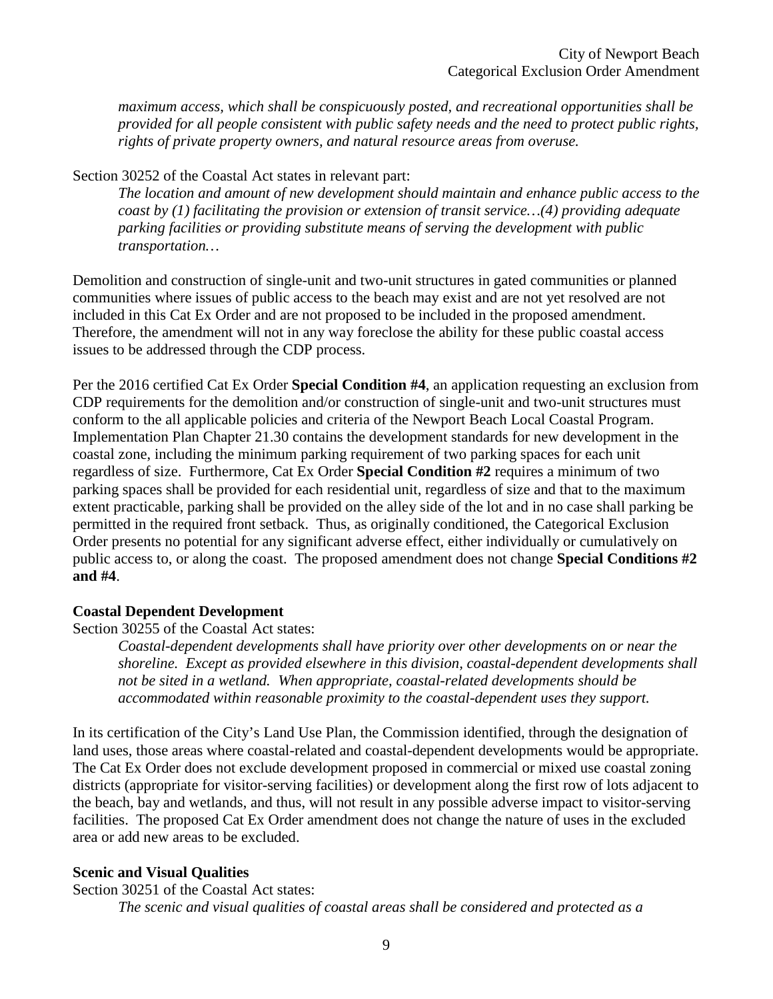*maximum access, which shall be conspicuously posted, and recreational opportunities shall be provided for all people consistent with public safety needs and the need to protect public rights, rights of private property owners, and natural resource areas from overuse.*

Section 30252 of the Coastal Act states in relevant part:

*The location and amount of new development should maintain and enhance public access to the coast by (1) facilitating the provision or extension of transit service…(4) providing adequate parking facilities or providing substitute means of serving the development with public transportation…* 

Demolition and construction of single-unit and two-unit structures in gated communities or planned communities where issues of public access to the beach may exist and are not yet resolved are not included in this Cat Ex Order and are not proposed to be included in the proposed amendment. Therefore, the amendment will not in any way foreclose the ability for these public coastal access issues to be addressed through the CDP process.

Per the 2016 certified Cat Ex Order **Special Condition #4**, an application requesting an exclusion from CDP requirements for the demolition and/or construction of single-unit and two-unit structures must conform to the all applicable policies and criteria of the Newport Beach Local Coastal Program. Implementation Plan Chapter 21.30 contains the development standards for new development in the coastal zone, including the minimum parking requirement of two parking spaces for each unit regardless of size. Furthermore, Cat Ex Order **Special Condition #2** requires a minimum of two parking spaces shall be provided for each residential unit, regardless of size and that to the maximum extent practicable, parking shall be provided on the alley side of the lot and in no case shall parking be permitted in the required front setback. Thus, as originally conditioned, the Categorical Exclusion Order presents no potential for any significant adverse effect, either individually or cumulatively on public access to, or along the coast. The proposed amendment does not change **Special Conditions #2 and #4**.

#### **Coastal Dependent Development**

Section 30255 of the Coastal Act states:

*Coastal-dependent developments shall have priority over other developments on or near the shoreline. Except as provided elsewhere in this division, coastal-dependent developments shall not be sited in a wetland. When appropriate, coastal-related developments should be accommodated within reasonable proximity to the coastal-dependent uses they support.* 

In its certification of the City's Land Use Plan, the Commission identified, through the designation of land uses, those areas where coastal-related and coastal-dependent developments would be appropriate. The Cat Ex Order does not exclude development proposed in commercial or mixed use coastal zoning districts (appropriate for visitor-serving facilities) or development along the first row of lots adjacent to the beach, bay and wetlands, and thus, will not result in any possible adverse impact to visitor-serving facilities. The proposed Cat Ex Order amendment does not change the nature of uses in the excluded area or add new areas to be excluded.

#### **Scenic and Visual Qualities**

Section 30251 of the Coastal Act states: *The scenic and visual qualities of coastal areas shall be considered and protected as a*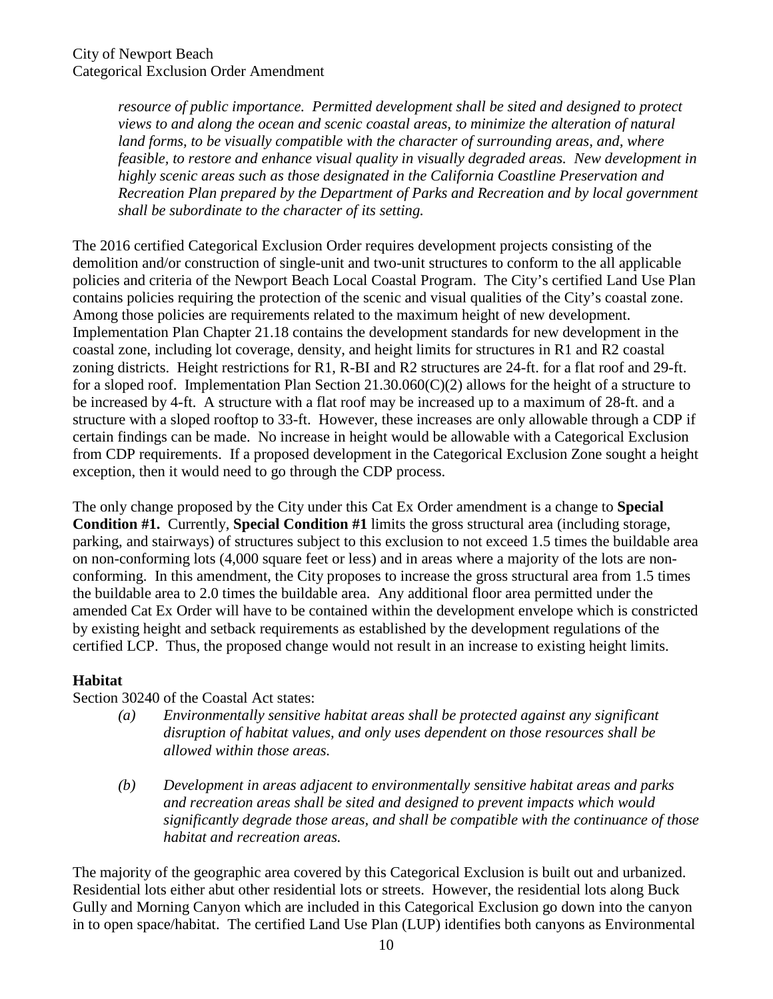*resource of public importance. Permitted development shall be sited and designed to protect views to and along the ocean and scenic coastal areas, to minimize the alteration of natural*  land forms, to be visually compatible with the character of surrounding areas, and, where *feasible, to restore and enhance visual quality in visually degraded areas. New development in highly scenic areas such as those designated in the California Coastline Preservation and Recreation Plan prepared by the Department of Parks and Recreation and by local government shall be subordinate to the character of its setting.* 

The 2016 certified Categorical Exclusion Order requires development projects consisting of the demolition and/or construction of single-unit and two-unit structures to conform to the all applicable policies and criteria of the Newport Beach Local Coastal Program. The City's certified Land Use Plan contains policies requiring the protection of the scenic and visual qualities of the City's coastal zone. Among those policies are requirements related to the maximum height of new development. Implementation Plan Chapter 21.18 contains the development standards for new development in the coastal zone, including lot coverage, density, and height limits for structures in R1 and R2 coastal zoning districts. Height restrictions for R1, R-BI and R2 structures are 24-ft. for a flat roof and 29-ft. for a sloped roof. Implementation Plan Section 21.30.060(C)(2) allows for the height of a structure to be increased by 4-ft. A structure with a flat roof may be increased up to a maximum of 28-ft. and a structure with a sloped rooftop to 33-ft. However, these increases are only allowable through a CDP if certain findings can be made. No increase in height would be allowable with a Categorical Exclusion from CDP requirements. If a proposed development in the Categorical Exclusion Zone sought a height exception, then it would need to go through the CDP process.

The only change proposed by the City under this Cat Ex Order amendment is a change to **Special Condition #1.** Currently, **Special Condition #1** limits the gross structural area (including storage, parking, and stairways) of structures subject to this exclusion to not exceed 1.5 times the buildable area on non-conforming lots (4,000 square feet or less) and in areas where a majority of the lots are nonconforming. In this amendment, the City proposes to increase the gross structural area from 1.5 times the buildable area to 2.0 times the buildable area. Any additional floor area permitted under the amended Cat Ex Order will have to be contained within the development envelope which is constricted by existing height and setback requirements as established by the development regulations of the certified LCP. Thus, the proposed change would not result in an increase to existing height limits.

## **Habitat**

Section 30240 of the Coastal Act states:

- *(a) Environmentally sensitive habitat areas shall be protected against any significant disruption of habitat values, and only uses dependent on those resources shall be allowed within those areas.*
- *(b) Development in areas adjacent to environmentally sensitive habitat areas and parks and recreation areas shall be sited and designed to prevent impacts which would significantly degrade those areas, and shall be compatible with the continuance of those habitat and recreation areas.*

The majority of the geographic area covered by this Categorical Exclusion is built out and urbanized. Residential lots either abut other residential lots or streets. However, the residential lots along Buck Gully and Morning Canyon which are included in this Categorical Exclusion go down into the canyon in to open space/habitat. The certified Land Use Plan (LUP) identifies both canyons as Environmental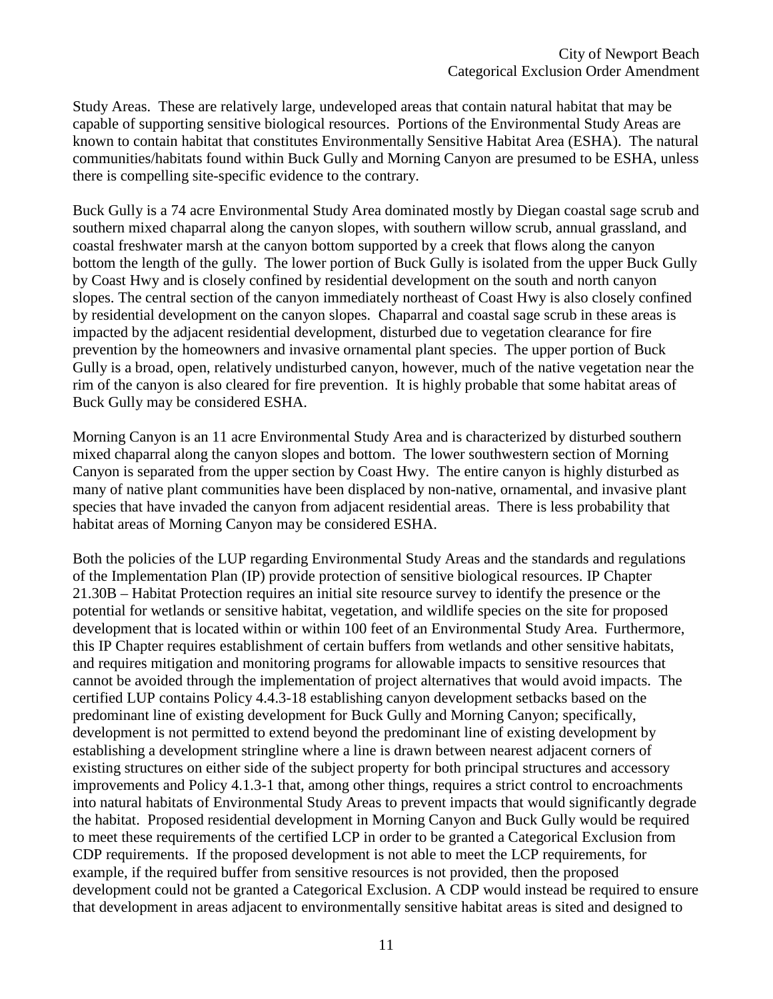Study Areas. These are relatively large, undeveloped areas that contain natural habitat that may be capable of supporting sensitive biological resources. Portions of the Environmental Study Areas are known to contain habitat that constitutes Environmentally Sensitive Habitat Area (ESHA). The natural communities/habitats found within Buck Gully and Morning Canyon are presumed to be ESHA, unless there is compelling site-specific evidence to the contrary.

Buck Gully is a 74 acre Environmental Study Area dominated mostly by Diegan coastal sage scrub and southern mixed chaparral along the canyon slopes, with southern willow scrub, annual grassland, and coastal freshwater marsh at the canyon bottom supported by a creek that flows along the canyon bottom the length of the gully. The lower portion of Buck Gully is isolated from the upper Buck Gully by Coast Hwy and is closely confined by residential development on the south and north canyon slopes. The central section of the canyon immediately northeast of Coast Hwy is also closely confined by residential development on the canyon slopes. Chaparral and coastal sage scrub in these areas is impacted by the adjacent residential development, disturbed due to vegetation clearance for fire prevention by the homeowners and invasive ornamental plant species. The upper portion of Buck Gully is a broad, open, relatively undisturbed canyon, however, much of the native vegetation near the rim of the canyon is also cleared for fire prevention. It is highly probable that some habitat areas of Buck Gully may be considered ESHA.

Morning Canyon is an 11 acre Environmental Study Area and is characterized by disturbed southern mixed chaparral along the canyon slopes and bottom. The lower southwestern section of Morning Canyon is separated from the upper section by Coast Hwy. The entire canyon is highly disturbed as many of native plant communities have been displaced by non-native, ornamental, and invasive plant species that have invaded the canyon from adjacent residential areas. There is less probability that habitat areas of Morning Canyon may be considered ESHA.

Both the policies of the LUP regarding Environmental Study Areas and the standards and regulations of the Implementation Plan (IP) provide protection of sensitive biological resources. IP Chapter 21.30B – Habitat Protection requires an initial site resource survey to identify the presence or the potential for wetlands or sensitive habitat, vegetation, and wildlife species on the site for proposed development that is located within or within 100 feet of an Environmental Study Area. Furthermore, this IP Chapter requires establishment of certain buffers from wetlands and other sensitive habitats, and requires mitigation and monitoring programs for allowable impacts to sensitive resources that cannot be avoided through the implementation of project alternatives that would avoid impacts. The certified LUP contains Policy 4.4.3-18 establishing canyon development setbacks based on the predominant line of existing development for Buck Gully and Morning Canyon; specifically, development is not permitted to extend beyond the predominant line of existing development by establishing a development stringline where a line is drawn between nearest adjacent corners of existing structures on either side of the subject property for both principal structures and accessory improvements and Policy 4.1.3-1 that, among other things, requires a strict control to encroachments into natural habitats of Environmental Study Areas to prevent impacts that would significantly degrade the habitat. Proposed residential development in Morning Canyon and Buck Gully would be required to meet these requirements of the certified LCP in order to be granted a Categorical Exclusion from CDP requirements. If the proposed development is not able to meet the LCP requirements, for example, if the required buffer from sensitive resources is not provided, then the proposed development could not be granted a Categorical Exclusion. A CDP would instead be required to ensure that development in areas adjacent to environmentally sensitive habitat areas is sited and designed to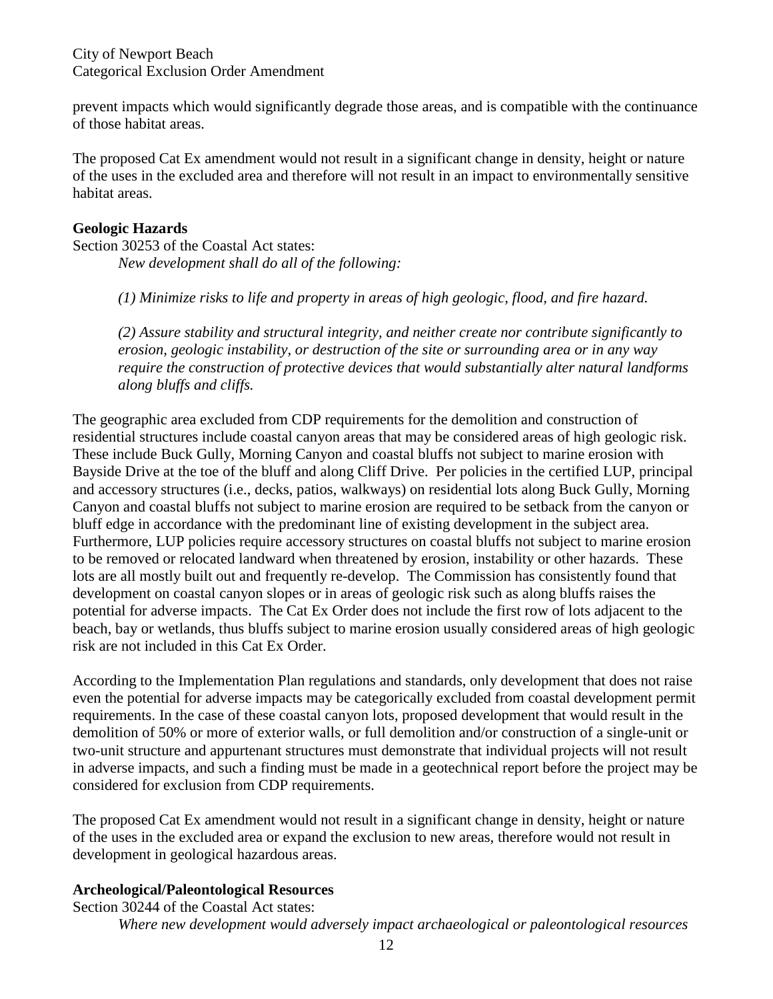City of Newport Beach Categorical Exclusion Order Amendment

prevent impacts which would significantly degrade those areas, and is compatible with the continuance of those habitat areas.

The proposed Cat Ex amendment would not result in a significant change in density, height or nature of the uses in the excluded area and therefore will not result in an impact to environmentally sensitive habitat areas.

#### **Geologic Hazards**

Section 30253 of the Coastal Act states: *New development shall do all of the following:* 

*(1) Minimize risks to life and property in areas of high geologic, flood, and fire hazard.* 

*(2) Assure stability and structural integrity, and neither create nor contribute significantly to erosion, geologic instability, or destruction of the site or surrounding area or in any way require the construction of protective devices that would substantially alter natural landforms along bluffs and cliffs.* 

The geographic area excluded from CDP requirements for the demolition and construction of residential structures include coastal canyon areas that may be considered areas of high geologic risk. These include Buck Gully, Morning Canyon and coastal bluffs not subject to marine erosion with Bayside Drive at the toe of the bluff and along Cliff Drive. Per policies in the certified LUP, principal and accessory structures (i.e., decks, patios, walkways) on residential lots along Buck Gully, Morning Canyon and coastal bluffs not subject to marine erosion are required to be setback from the canyon or bluff edge in accordance with the predominant line of existing development in the subject area. Furthermore, LUP policies require accessory structures on coastal bluffs not subject to marine erosion to be removed or relocated landward when threatened by erosion, instability or other hazards. These lots are all mostly built out and frequently re-develop. The Commission has consistently found that development on coastal canyon slopes or in areas of geologic risk such as along bluffs raises the potential for adverse impacts. The Cat Ex Order does not include the first row of lots adjacent to the beach, bay or wetlands, thus bluffs subject to marine erosion usually considered areas of high geologic risk are not included in this Cat Ex Order.

According to the Implementation Plan regulations and standards, only development that does not raise even the potential for adverse impacts may be categorically excluded from coastal development permit requirements. In the case of these coastal canyon lots, proposed development that would result in the demolition of 50% or more of exterior walls, or full demolition and/or construction of a single-unit or two-unit structure and appurtenant structures must demonstrate that individual projects will not result in adverse impacts, and such a finding must be made in a geotechnical report before the project may be considered for exclusion from CDP requirements.

The proposed Cat Ex amendment would not result in a significant change in density, height or nature of the uses in the excluded area or expand the exclusion to new areas, therefore would not result in development in geological hazardous areas.

## **Archeological/Paleontological Resources**

Section 30244 of the Coastal Act states: *Where new development would adversely impact archaeological or paleontological resources*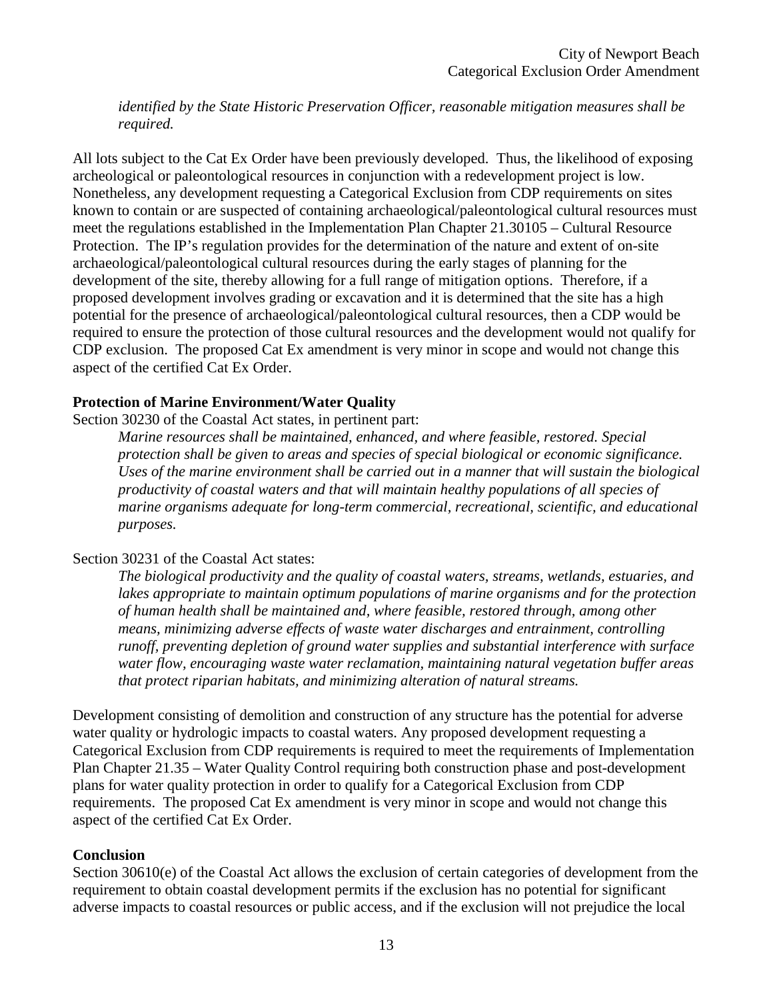*identified by the State Historic Preservation Officer, reasonable mitigation measures shall be required.* 

All lots subject to the Cat Ex Order have been previously developed. Thus, the likelihood of exposing archeological or paleontological resources in conjunction with a redevelopment project is low. Nonetheless, any development requesting a Categorical Exclusion from CDP requirements on sites known to contain or are suspected of containing archaeological/paleontological cultural resources must meet the regulations established in the Implementation Plan Chapter 21.30105 – Cultural Resource Protection. The IP's regulation provides for the determination of the nature and extent of on-site archaeological/paleontological cultural resources during the early stages of planning for the development of the site, thereby allowing for a full range of mitigation options. Therefore, if a proposed development involves grading or excavation and it is determined that the site has a high potential for the presence of archaeological/paleontological cultural resources, then a CDP would be required to ensure the protection of those cultural resources and the development would not qualify for CDP exclusion. The proposed Cat Ex amendment is very minor in scope and would not change this aspect of the certified Cat Ex Order.

#### **Protection of Marine Environment/Water Quality**

Section 30230 of the Coastal Act states, in pertinent part:

*Marine resources shall be maintained, enhanced, and where feasible, restored. Special protection shall be given to areas and species of special biological or economic significance. Uses of the marine environment shall be carried out in a manner that will sustain the biological productivity of coastal waters and that will maintain healthy populations of all species of marine organisms adequate for long-term commercial, recreational, scientific, and educational purposes.* 

## Section 30231 of the Coastal Act states:

*The biological productivity and the quality of coastal waters, streams, wetlands, estuaries, and lakes appropriate to maintain optimum populations of marine organisms and for the protection of human health shall be maintained and, where feasible, restored through, among other means, minimizing adverse effects of waste water discharges and entrainment, controlling runoff, preventing depletion of ground water supplies and substantial interference with surface water flow, encouraging waste water reclamation, maintaining natural vegetation buffer areas that protect riparian habitats, and minimizing alteration of natural streams.* 

Development consisting of demolition and construction of any structure has the potential for adverse water quality or hydrologic impacts to coastal waters. Any proposed development requesting a Categorical Exclusion from CDP requirements is required to meet the requirements of Implementation Plan Chapter 21.35 – Water Quality Control requiring both construction phase and post-development plans for water quality protection in order to qualify for a Categorical Exclusion from CDP requirements. The proposed Cat Ex amendment is very minor in scope and would not change this aspect of the certified Cat Ex Order.

#### **Conclusion**

Section 30610(e) of the Coastal Act allows the exclusion of certain categories of development from the requirement to obtain coastal development permits if the exclusion has no potential for significant adverse impacts to coastal resources or public access, and if the exclusion will not prejudice the local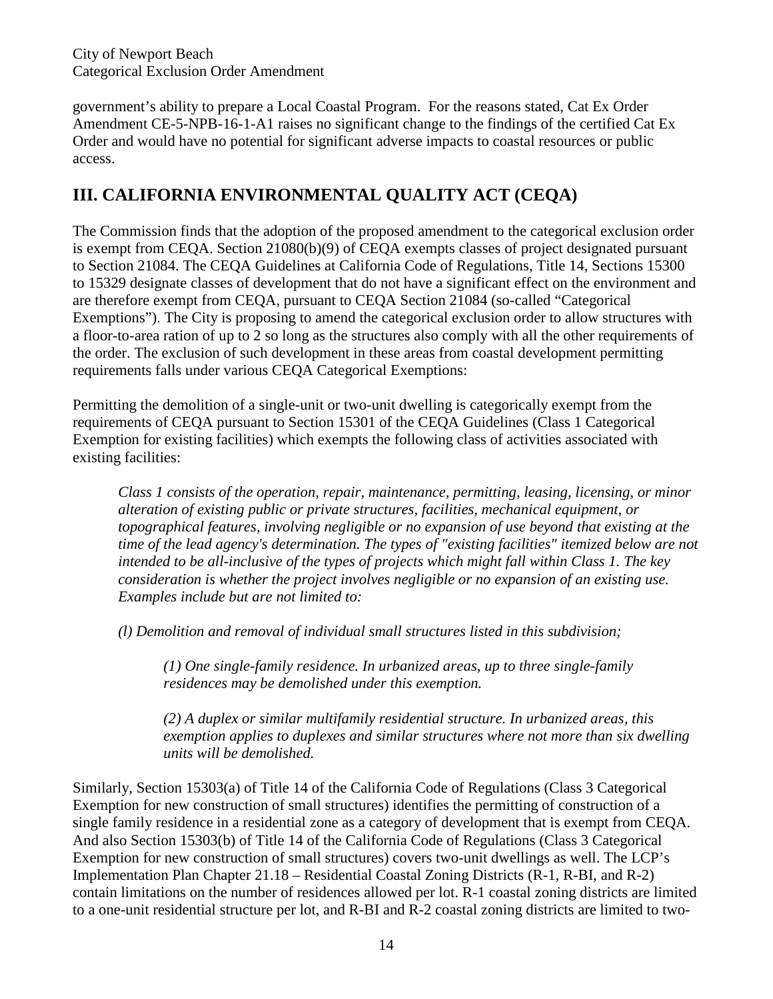City of Newport Beach Categorical Exclusion Order Amendment

government's ability to prepare a Local Coastal Program. For the reasons stated, Cat Ex Order Amendment CE-5-NPB-16-1-A1 raises no significant change to the findings of the certified Cat Ex Order and would have no potential for significant adverse impacts to coastal resources or public access.

# **III. CALIFORNIA ENVIRONMENTAL QUALITY ACT (CEQA)**

The Commission finds that the adoption of the proposed amendment to the categorical exclusion order is exempt from CEQA. Section 21080(b)(9) of CEQA exempts classes of project designated pursuant to Section 21084. The CEQA Guidelines at California Code of Regulations, Title 14, Sections 15300 to 15329 designate classes of development that do not have a significant effect on the environment and are therefore exempt from CEQA, pursuant to CEQA Section 21084 (so-called "Categorical Exemptions"). The City is proposing to amend the categorical exclusion order to allow structures with a floor-to-area ration of up to 2 so long as the structures also comply with all the other requirements of the order. The exclusion of such development in these areas from coastal development permitting requirements falls under various CEQA Categorical Exemptions:

Permitting the demolition of a single-unit or two-unit dwelling is categorically exempt from the requirements of CEQA pursuant to Section 15301 of the CEQA Guidelines (Class 1 Categorical Exemption for existing facilities) which exempts the following class of activities associated with existing facilities:

*Class 1 consists of the operation, repair, maintenance, permitting, leasing, licensing, or minor alteration of existing public or private structures, facilities, mechanical equipment, or topographical features, involving negligible or no expansion of use beyond that existing at the time of the lead agency's determination. The types of "existing facilities" itemized below are not intended to be all-inclusive of the types of projects which might fall within Class 1. The key consideration is whether the project involves negligible or no expansion of an existing use. Examples include but are not limited to:* 

*(l) Demolition and removal of individual small structures listed in this subdivision;* 

*(1) One single-family residence. In urbanized areas, up to three single-family residences may be demolished under this exemption.* 

*(2) A duplex or similar multifamily residential structure. In urbanized areas, this exemption applies to duplexes and similar structures where not more than six dwelling units will be demolished.* 

Similarly, Section 15303(a) of Title 14 of the California Code of Regulations (Class 3 Categorical Exemption for new construction of small structures) identifies the permitting of construction of a single family residence in a residential zone as a category of development that is exempt from CEQA. And also Section 15303(b) of Title 14 of the California Code of Regulations (Class 3 Categorical Exemption for new construction of small structures) covers two-unit dwellings as well. The LCP's Implementation Plan Chapter 21.18 – Residential Coastal Zoning Districts (R-1, R-BI, and R-2) contain limitations on the number of residences allowed per lot. R-1 coastal zoning districts are limited to a one-unit residential structure per lot, and R-BI and R-2 coastal zoning districts are limited to two